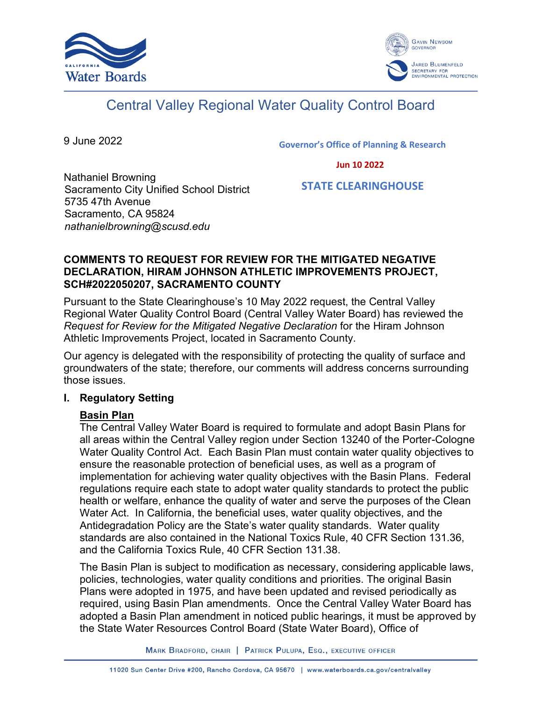



# Central Valley Regional Water Quality Control Board

9 June 2022

**Governor's Office of Planning & Research**

 **Jun 10 2022**

Nathaniel Browning Sacramento City Unified School District 5735 47th Avenue Sacramento, CA 95824 *nathanielbrowning@scusd.edu*

 **STATE CLEARINGHOUSE**

### **COMMENTS TO REQUEST FOR REVIEW FOR THE MITIGATED NEGATIVE DECLARATION, HIRAM JOHNSON ATHLETIC IMPROVEMENTS PROJECT, SCH#2022050207, SACRAMENTO COUNTY**

Pursuant to the State Clearinghouse's 10 May 2022 request, the Central Valley Regional Water Quality Control Board (Central Valley Water Board) has reviewed the *Request for Review for the Mitigated Negative Declaration* for the Hiram Johnson Athletic Improvements Project, located in Sacramento County.

Our agency is delegated with the responsibility of protecting the quality of surface and groundwaters of the state; therefore, our comments will address concerns surrounding those issues.

## **I. Regulatory Setting**

# **Basin Plan**

The Central Valley Water Board is required to formulate and adopt Basin Plans for all areas within the Central Valley region under Section 13240 of the Porter-Cologne Water Quality Control Act. Each Basin Plan must contain water quality objectives to ensure the reasonable protection of beneficial uses, as well as a program of implementation for achieving water quality objectives with the Basin Plans. Federal regulations require each state to adopt water quality standards to protect the public health or welfare, enhance the quality of water and serve the purposes of the Clean Water Act. In California, the beneficial uses, water quality objectives, and the Antidegradation Policy are the State's water quality standards. Water quality standards are also contained in the National Toxics Rule, 40 CFR Section 131.36, and the California Toxics Rule, 40 CFR Section 131.38.

The Basin Plan is subject to modification as necessary, considering applicable laws, policies, technologies, water quality conditions and priorities. The original Basin Plans were adopted in 1975, and have been updated and revised periodically as required, using Basin Plan amendments. Once the Central Valley Water Board has adopted a Basin Plan amendment in noticed public hearings, it must be approved by the State Water Resources Control Board (State Water Board), Office of

MARK BRADFORD, CHAIR | PATRICK PULUPA, ESQ., EXECUTIVE OFFICER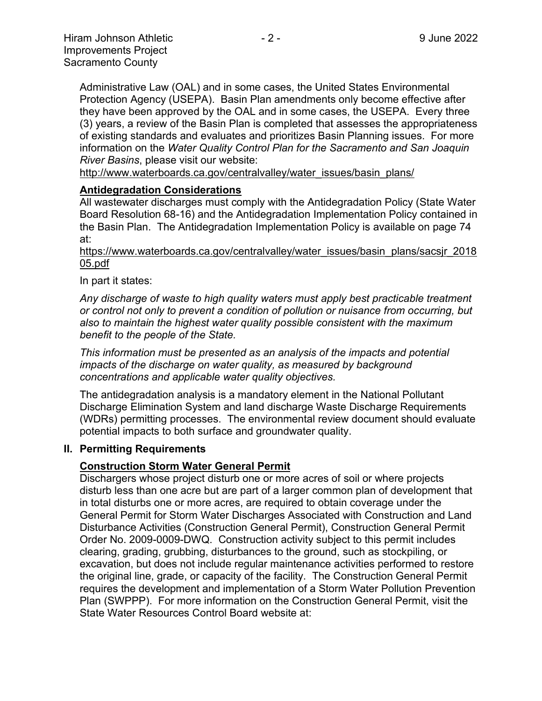Administrative Law (OAL) and in some cases, the United States Environmental Protection Agency (USEPA). Basin Plan amendments only become effective after they have been approved by the OAL and in some cases, the USEPA. Every three (3) years, a review of the Basin Plan is completed that assesses the appropriateness of existing standards and evaluates and prioritizes Basin Planning issues. For more information on the *Water Quality Control Plan for the Sacramento and San Joaquin River Basins*, please visit our website:

[http://www.waterboards.ca.gov/centralvalley/water\\_issues/basin\\_plans/](http://www.waterboards.ca.gov/centralvalley/water_issues/basin_plans/)

#### **Antidegradation Considerations**

All wastewater discharges must comply with the Antidegradation Policy (State Water Board Resolution 68-16) and the Antidegradation Implementation Policy contained in the Basin Plan. The Antidegradation Implementation Policy is available on page 74 at:

https://www.waterboards.ca.gov/centralvalley/water\_issues/basin\_plans/sacsjr\_2018 05.pdf

In part it states:

*Any discharge of waste to high quality waters must apply best practicable treatment or control not only to prevent a condition of pollution or nuisance from occurring, but also to maintain the highest water quality possible consistent with the maximum benefit to the people of the State.*

*This information must be presented as an analysis of the impacts and potential impacts of the discharge on water quality, as measured by background concentrations and applicable water quality objectives.*

The antidegradation analysis is a mandatory element in the National Pollutant Discharge Elimination System and land discharge Waste Discharge Requirements (WDRs) permitting processes. The environmental review document should evaluate potential impacts to both surface and groundwater quality.

#### **II. Permitting Requirements**

#### **Construction Storm Water General Permit**

Dischargers whose project disturb one or more acres of soil or where projects disturb less than one acre but are part of a larger common plan of development that in total disturbs one or more acres, are required to obtain coverage under the General Permit for Storm Water Discharges Associated with Construction and Land Disturbance Activities (Construction General Permit), Construction General Permit Order No. 2009-0009-DWQ. Construction activity subject to this permit includes clearing, grading, grubbing, disturbances to the ground, such as stockpiling, or excavation, but does not include regular maintenance activities performed to restore the original line, grade, or capacity of the facility. The Construction General Permit requires the development and implementation of a Storm Water Pollution Prevention Plan (SWPPP). For more information on the Construction General Permit, visit the State Water Resources Control Board website at: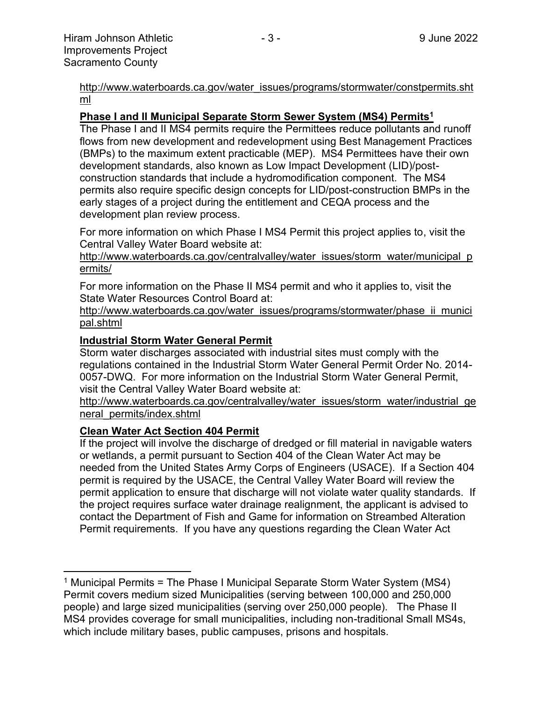[http://www.waterboards.ca.gov/water\\_issues/programs/stormwater/constpermits.sht](http://www.waterboards.ca.gov/water_issues/programs/stormwater/constpermits.shtml) [ml](http://www.waterboards.ca.gov/water_issues/programs/stormwater/constpermits.shtml)

#### **Phase I and II Municipal Separate Storm Sewer System (MS4) Permits<sup>1</sup>**

The Phase I and II MS4 permits require the Permittees reduce pollutants and runoff flows from new development and redevelopment using Best Management Practices (BMPs) to the maximum extent practicable (MEP). MS4 Permittees have their own development standards, also known as Low Impact Development (LID)/postconstruction standards that include a hydromodification component. The MS4 permits also require specific design concepts for LID/post-construction BMPs in the early stages of a project during the entitlement and CEQA process and the development plan review process.

For more information on which Phase I MS4 Permit this project applies to, visit the Central Valley Water Board website at:

http://www.waterboards.ca.gov/centralvalley/water\_issues/storm\_water/municipal\_p ermits/

For more information on the Phase II MS4 permit and who it applies to, visit the State Water Resources Control Board at:

http://www.waterboards.ca.gov/water\_issues/programs/stormwater/phase\_ii\_munici pal.shtml

#### **Industrial Storm Water General Permit**

Storm water discharges associated with industrial sites must comply with the regulations contained in the Industrial Storm Water General Permit Order No. 2014- 0057-DWQ. For more information on the Industrial Storm Water General Permit, visit the Central Valley Water Board website at:

http://www.waterboards.ca.gov/centralvalley/water\_issues/storm\_water/industrial\_ge neral\_permits/index.shtml

#### **Clean Water Act Section 404 Permit**

If the project will involve the discharge of dredged or fill material in navigable waters or wetlands, a permit pursuant to Section 404 of the Clean Water Act may be needed from the United States Army Corps of Engineers (USACE). If a Section 404 permit is required by the USACE, the Central Valley Water Board will review the permit application to ensure that discharge will not violate water quality standards. If the project requires surface water drainage realignment, the applicant is advised to contact the Department of Fish and Game for information on Streambed Alteration Permit requirements. If you have any questions regarding the Clean Water Act

<sup>&</sup>lt;sup>1</sup> Municipal Permits = The Phase I Municipal Separate Storm Water System (MS4) Permit covers medium sized Municipalities (serving between 100,000 and 250,000 people) and large sized municipalities (serving over 250,000 people). The Phase II MS4 provides coverage for small municipalities, including non-traditional Small MS4s, which include military bases, public campuses, prisons and hospitals.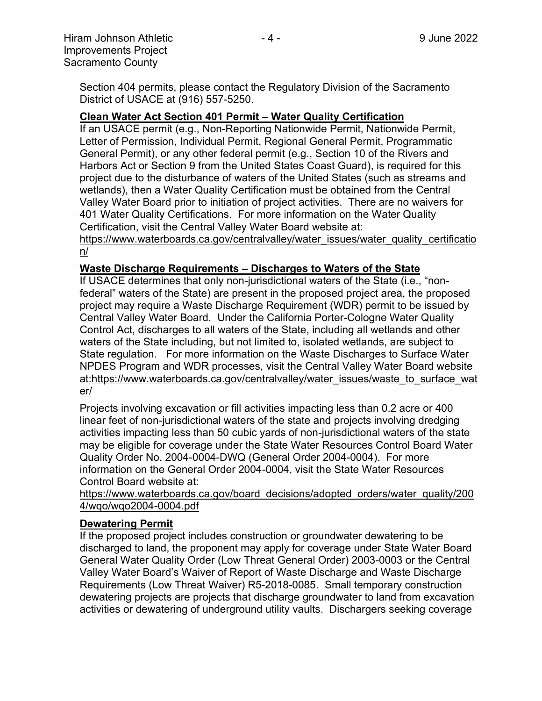Section 404 permits, please contact the Regulatory Division of the Sacramento District of USACE at (916) 557-5250.

#### **Clean Water Act Section 401 Permit – Water Quality Certification**

If an USACE permit (e.g., Non-Reporting Nationwide Permit, Nationwide Permit, Letter of Permission, Individual Permit, Regional General Permit, Programmatic General Permit), or any other federal permit (e.g., Section 10 of the Rivers and Harbors Act or Section 9 from the United States Coast Guard), is required for this project due to the disturbance of waters of the United States (such as streams and wetlands), then a Water Quality Certification must be obtained from the Central Valley Water Board prior to initiation of project activities. There are no waivers for 401 Water Quality Certifications. For more information on the Water Quality Certification, visit the Central Valley Water Board website at:

https://www.waterboards.ca.gov/centralvalley/water\_issues/water\_quality\_certificatio n/

#### **Waste Discharge Requirements – Discharges to Waters of the State**

If USACE determines that only non-jurisdictional waters of the State (i.e., "nonfederal" waters of the State) are present in the proposed project area, the proposed project may require a Waste Discharge Requirement (WDR) permit to be issued by Central Valley Water Board. Under the California Porter-Cologne Water Quality Control Act, discharges to all waters of the State, including all wetlands and other waters of the State including, but not limited to, isolated wetlands, are subject to State regulation. For more information on the Waste Discharges to Surface Water NPDES Program and WDR processes, visit the Central Valley Water Board website at:https://www.waterboards.ca.gov/centralvalley/water\_issues/waste\_to\_surface\_wat er/

Projects involving excavation or fill activities impacting less than 0.2 acre or 400 linear feet of non-jurisdictional waters of the state and projects involving dredging activities impacting less than 50 cubic yards of non-jurisdictional waters of the state may be eligible for coverage under the State Water Resources Control Board Water Quality Order No. 2004-0004-DWQ (General Order 2004-0004). For more information on the General Order 2004-0004, visit the State Water Resources Control Board website at:

https://www.waterboards.ca.gov/board\_decisions/adopted\_orders/water\_quality/200 4/wqo/wqo2004-0004.pdf

#### **Dewatering Permit**

If the proposed project includes construction or groundwater dewatering to be discharged to land, the proponent may apply for coverage under State Water Board General Water Quality Order (Low Threat General Order) 2003-0003 or the Central Valley Water Board's Waiver of Report of Waste Discharge and Waste Discharge Requirements (Low Threat Waiver) R5-2018-0085. Small temporary construction dewatering projects are projects that discharge groundwater to land from excavation activities or dewatering of underground utility vaults. Dischargers seeking coverage